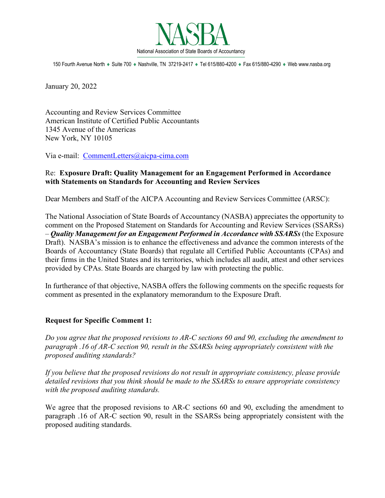

150 Fourth Avenue North ♦ Suite 700 ♦ Nashville, TN 37219-2417 ♦ Tel 615/880-4200 ♦ Fax 615/880-4290 ♦ Web www.nasba.org

January 20, 2022

Accounting and Review Services Committee American Institute of Certified Public Accountants 1345 Avenue of the Americas New York, NY 10105

Via e-mail: [CommentLetters@aicpa-cima.com](mailto:CommentLetters@aicpa-cima.com)

### Re: **Exposure Draft: Quality Management for an Engagement Performed in Accordance with Statements on Standards for Accounting and Review Services**

Dear Members and Staff of the AICPA Accounting and Review Services Committee (ARSC):

The National Association of State Boards of Accountancy (NASBA) appreciates the opportunity to comment on the Proposed Statement on Standards for Accounting and Review Services (SSARSs) – *Quality Management for an Engagement Performed in Accordance with SSARSs* (the Exposure Draft). NASBA's mission is to enhance the effectiveness and advance the common interests of the Boards of Accountancy (State Boards) that regulate all Certified Public Accountants (CPAs) and their firms in the United States and its territories, which includes all audit, attest and other services provided by CPAs. State Boards are charged by law with protecting the public.

In furtherance of that objective, NASBA offers the following comments on the specific requests for comment as presented in the explanatory memorandum to the Exposure Draft.

#### **Request for Specific Comment 1:**

*Do you agree that the proposed revisions to AR-C sections 60 and 90, excluding the amendment to paragraph .16 of AR-C section 90, result in the SSARSs being appropriately consistent with the proposed auditing standards?*

*If you believe that the proposed revisions do not result in appropriate consistency, please provide detailed revisions that you think should be made to the SSARSs to ensure appropriate consistency with the proposed auditing standards.*

We agree that the proposed revisions to AR-C sections 60 and 90, excluding the amendment to paragraph .16 of AR-C section 90, result in the SSARSs being appropriately consistent with the proposed auditing standards.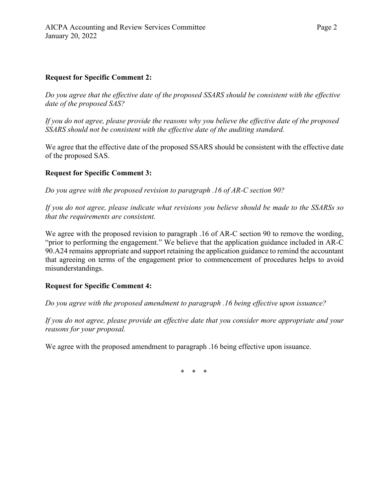## **Request for Specific Comment 2:**

*Do you agree that the effective date of the proposed SSARS should be consistent with the effective date of the proposed SAS?*

*If you do not agree, please provide the reasons why you believe the effective date of the proposed SSARS should not be consistent with the effective date of the auditing standard.*

We agree that the effective date of the proposed SSARS should be consistent with the effective date of the proposed SAS.

# **Request for Specific Comment 3:**

*Do you agree with the proposed revision to paragraph .16 of AR-C section 90?*

*If you do not agree, please indicate what revisions you believe should be made to the SSARSs so that the requirements are consistent.*

We agree with the proposed revision to paragraph .16 of AR-C section 90 to remove the wording, "prior to performing the engagement." We believe that the application guidance included in AR-C 90.A24 remains appropriate and support retaining the application guidance to remind the accountant that agreeing on terms of the engagement prior to commencement of procedures helps to avoid misunderstandings.

# **Request for Specific Comment 4:**

*Do you agree with the proposed amendment to paragraph .16 being effective upon issuance?*

*If you do not agree, please provide an effective date that you consider more appropriate and your reasons for your proposal.*

We agree with the proposed amendment to paragraph .16 being effective upon issuance.

\* \* \*